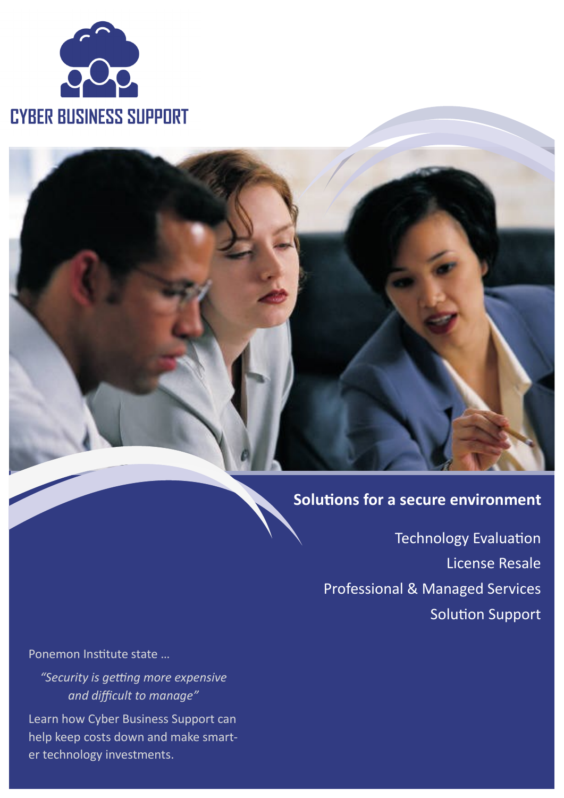

# **Solutions for a secure environment**

Technology Evaluation License Resale Professional & Managed Services Solution Support

Ponemon Institute state …

*"Security is getting more expensive and difficult to manage"* 

Learn how Cyber Business Support can help keep costs down and make smarter technology investments.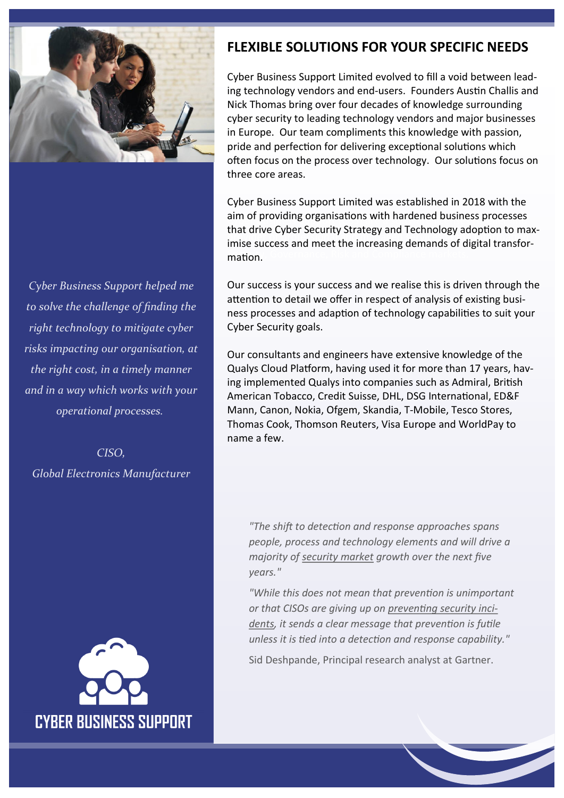

*Cyber Business Support helped me to solve the challenge of finding the right technology to mitigate cyber risks impacting our organisation, at the right cost, in a timely manner and in a way which works with your operational processes.*

*CISO, Global Electronics Manufacturer*



## **FLEXIBLE SOLUTIONS FOR YOUR SPECIFIC NEEDS**

Cyber Business Support Limited evolved to fill a void between leading technology vendors and end-users. Founders Austin Challis and Nick Thomas bring over four decades of knowledge surrounding cyber security to leading technology vendors and major businesses in Europe. Our team compliments this knowledge with passion, pride and perfection for delivering exceptional solutions which often focus on the process over technology. Our solutions focus on three core areas.

aim of providing organisations with hardened business processes inte and of professional persets, and redifficing adoption to make interesting the Information in the Information of digital transformation. Governance, Risk and Compliance markets. Cyber Business Support Limited was established in 2018 with the that drive Cyber Security Strategy and Technology adoption to max-

Our success is your success and we realise this is driven through the attention to detail we offer in respect of analysis of existing business processes and adaption of technology capabilities to suit your Cyber Security goals.

Our consultants and engineers have extensive knowledge of the Qualys Cloud Platform, having used it for more than 17 years, having implemented Qualys into companies such as Admiral, British American Tobacco, Credit Suisse, DHL, DSG International, ED&F Mann, Canon, Nokia, Ofgem, Skandia, T-Mobile, Tesco Stores, Thomas Cook, Thomson Reuters, Visa Europe and WorldPay to name a few.

*"The shift to detection and response approaches spans people, process and technology elements and will drive a majority of [security market](http://www.gartner.com/technology/topics/digital-risk-security.jsp) growth over the next five years."* 

*"While this does not mean that prevention is unimportant or that CISOs are giving up on [preventing security inci](http://www.gartner.com/smarterwithgartner/prepare-for-the-inevitable-security-incident/)[dents,](http://www.gartner.com/smarterwithgartner/prepare-for-the-inevitable-security-incident/) it sends a clear message that prevention is futile unless it is tied into a detection and response capability."* 

Sid Deshpande, Principal research analyst at Gartner.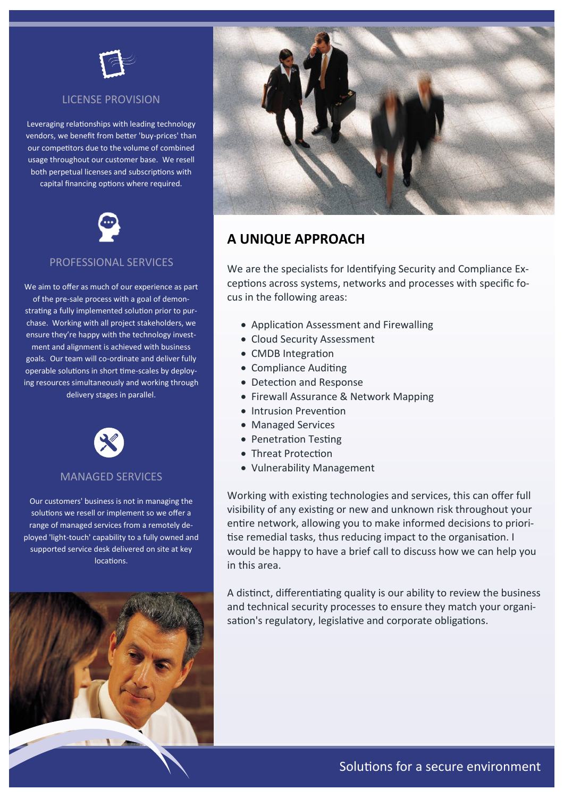

### LICENSE PROVISION

Leveraging relationships with leading technology vendors, we benefit from better 'buy-prices' than our competitors due to the volume of combined usage throughout our customer base. We resell both perpetual licenses and subscriptions with capital financing options where required.



#### PROFESSIONAL SERVICES

We aim to offer as much of our experience as part of the pre-sale process with a goal of demonstrating a fully implemented solution prior to purchase. Working with all project stakeholders, we ensure they're happy with the technology investment and alignment is achieved with business goals. Our team will co-ordinate and deliver fully operable solutions in short time-scales by deploying resources simultaneously and working through delivery stages in parallel.



#### MANAGED SERVICES

Our customers' business is not in managing the solutions we resell or implement so we offer a range of managed services from a remotely deployed 'light-touch' capability to a fully owned and supported service desk delivered on site at key locations.





### **A UNIQUE APPROACH**

We are the specialists for Identifying Security and Compliance Exceptions across systems, networks and processes with specific focus in the following areas:

- Application Assessment and Firewalling
- Cloud Security Assessment
- CMDB Integration
- Compliance Auditing
- Detection and Response
- Firewall Assurance & Network Mapping
- Intrusion Prevention
- Managed Services
- Penetration Testing
- Threat Protection
- Vulnerability Management

Working with existing technologies and services, this can offer full visibility of any existing or new and unknown risk throughout your entire network, allowing you to make informed decisions to prioritise remedial tasks, thus reducing impact to the organisation. I would be happy to have a brief call to discuss how we can help you in this area.

A distinct, differentiating quality is our ability to review the business and technical security processes to ensure they match your organisation's regulatory, legislative and corporate obligations.